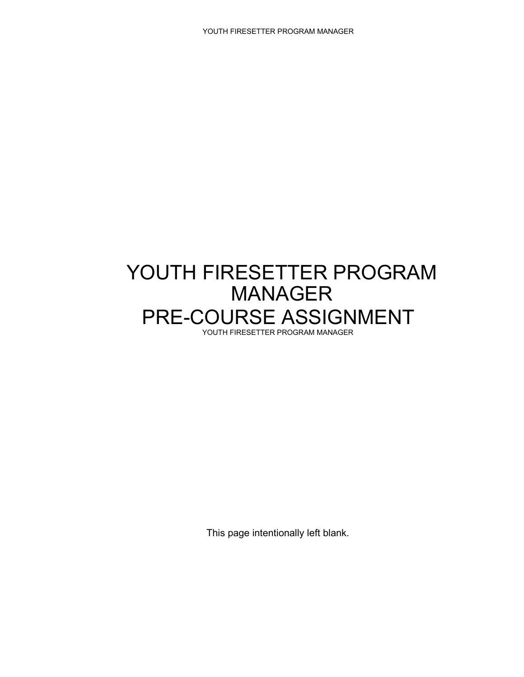## YOUTH FIRESETTER PROGRAM MANAGER PRE-COURSE ASSIGNMENT YOUTH FIRESETTER PROGRAM MANAGER

This page intentionally left blank.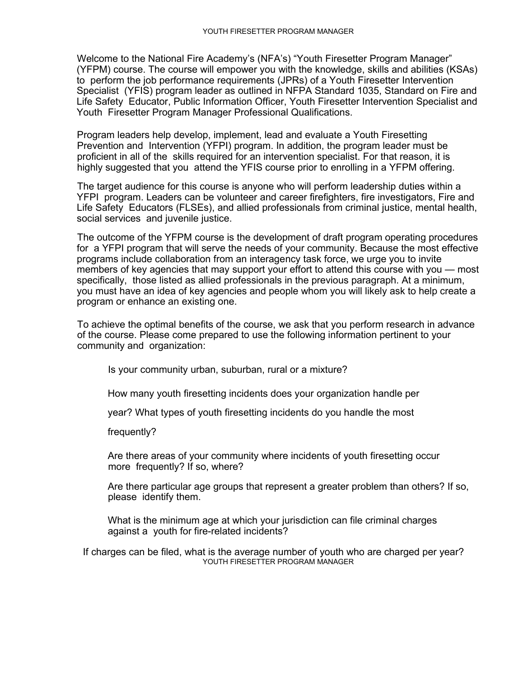Welcome to the National Fire Academy's (NFA's) "Youth Firesetter Program Manager" (YFPM) course. The course will empower you with the knowledge, skills and abilities (KSAs) to perform the job performance requirements (JPRs) of a Youth Firesetter Intervention Specialist (YFIS) program leader as outlined in NFPA Standard 1035, Standard on Fire and Life Safety Educator, Public Information Officer, Youth Firesetter Intervention Specialist and Youth Firesetter Program Manager Professional Qualifications.

Program leaders help develop, implement, lead and evaluate a Youth Firesetting Prevention and Intervention (YFPI) program. In addition, the program leader must be proficient in all of the skills required for an intervention specialist. For that reason, it is highly suggested that you attend the YFIS course prior to enrolling in a YFPM offering.

The target audience for this course is anyone who will perform leadership duties within a YFPI program. Leaders can be volunteer and career firefighters, fire investigators, Fire and Life Safety Educators (FLSEs), and allied professionals from criminal justice, mental health, social services and juvenile justice.

The outcome of the YFPM course is the development of draft program operating procedures for a YFPI program that will serve the needs of your community. Because the most effective programs include collaboration from an interagency task force, we urge you to invite members of key agencies that may support your effort to attend this course with you — most specifically, those listed as allied professionals in the previous paragraph. At a minimum, you must have an idea of key agencies and people whom you will likely ask to help create a program or enhance an existing one.

To achieve the optimal benefits of the course, we ask that you perform research in advance of the course. Please come prepared to use the following information pertinent to your community and organization:

Is your community urban, suburban, rural or a mixture?

How many youth firesetting incidents does your organization handle per

year? What types of youth firesetting incidents do you handle the most

frequently?

Are there areas of your community where incidents of youth firesetting occur more frequently? If so, where?

Are there particular age groups that represent a greater problem than others? If so, please identify them.

What is the minimum age at which your jurisdiction can file criminal charges against a youth for fire-related incidents?

If charges can be filed, what is the average number of youth who are charged per year? YOUTH FIRESETTER PROGRAM MANAGER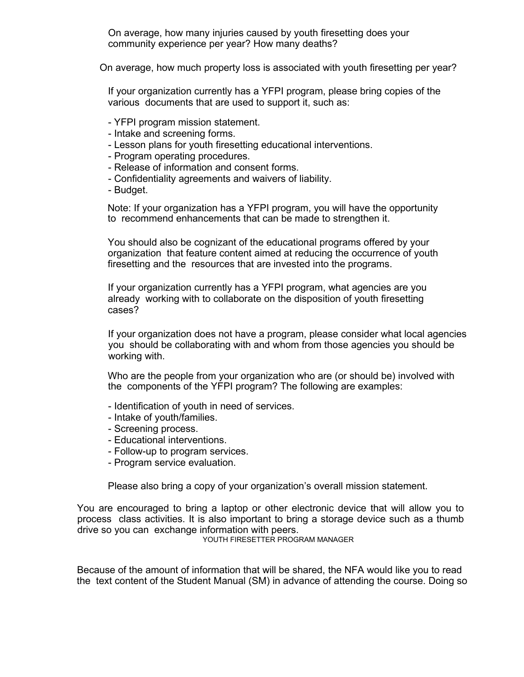On average, how many injuries caused by youth firesetting does your community experience per year? How many deaths?

On average, how much property loss is associated with youth firesetting per year?

If your organization currently has a YFPI program, please bring copies of the various documents that are used to support it, such as:

- YFPI program mission statement.
- Intake and screening forms.
- Lesson plans for youth firesetting educational interventions.
- Program operating procedures.
- Release of information and consent forms.
- Confidentiality agreements and waivers of liability.
- Budget.

Note: If your organization has a YFPI program, you will have the opportunity to recommend enhancements that can be made to strengthen it.

You should also be cognizant of the educational programs offered by your organization that feature content aimed at reducing the occurrence of youth firesetting and the resources that are invested into the programs.

If your organization currently has a YFPI program, what agencies are you already working with to collaborate on the disposition of youth firesetting cases?

If your organization does not have a program, please consider what local agencies you should be collaborating with and whom from those agencies you should be working with.

Who are the people from your organization who are (or should be) involved with the components of the YFPI program? The following are examples:

- Identification of youth in need of services.
- Intake of youth/families.
- Screening process.
- Educational interventions.
- Follow-up to program services.
- Program service evaluation.

Please also bring a copy of your organization's overall mission statement.

You are encouraged to bring a laptop or other electronic device that will allow you to process class activities. It is also important to bring a storage device such as a thumb drive so you can exchange information with peers.

YOUTH FIRESETTER PROGRAM MANAGER

Because of the amount of information that will be shared, the NFA would like you to read the text content of the Student Manual (SM) in advance of attending the course. Doing so